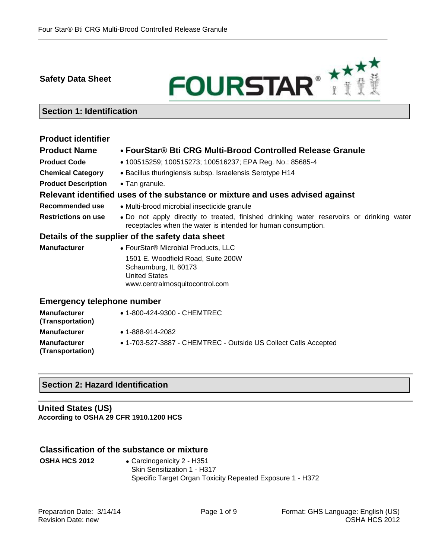**Safety Data Sheet**



# **Section 1: Identification**

# **Product identifier**

# **Product Name FourStar® Bti CRG Multi-Brood Controlled Release Granule**

- **Product Code** 100515259; 100515273; 100516237; EPA Reg. No.: 85685-4
- 
- **Chemical Category** . Bacillus thuringiensis subsp. Israelensis Serotype H14
- **Product Description Tan granule.**

# **Relevant identified uses of the substance or mixture and uses advised against**

- **Recommended use Multi-brood microbial insecticide granule**
- Restrictions on use . Do not apply directly to treated, finished drinking water reservoirs or drinking water receptacles when the water is intended for human consumption.

# **Details of the supplier of the safety data sheet**

**Manufacturer** • FourStar<sup>®</sup> Microbial Products, LLC 1501 E. Woodfield Road, Suite 200W Schaumburg, IL 60173 United States www.centralmosquitocontrol.com

# **Emergency telephone number**

| <b>Manufacturer</b><br>(Transportation) | • 1-800-424-9300 - CHEMTREC                                     |
|-----------------------------------------|-----------------------------------------------------------------|
| <b>Manufacturer</b>                     | $\bullet$ 1-888-914-2082                                        |
| <b>Manufacturer</b><br>(Transportation) | • 1-703-527-3887 - CHEMTREC - Outside US Collect Calls Accepted |

# **Section 2: Hazard Identification**

### **United States (US) According to OSHA 29 CFR 1910.1200 HCS**

# **Classification of the substance or mixture**

**OSHA HCS 2012** • Carcinogenicity 2 - H351 Skin Sensitization 1 - H317 Specific Target Organ Toxicity Repeated Exposure 1 - H372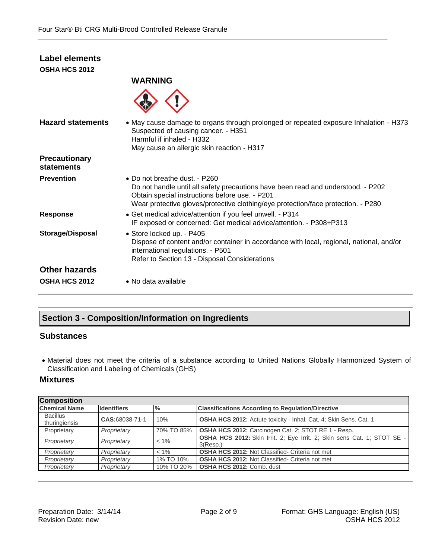# **Label elements OSHA HCS 2012**



| <b>Hazard statements</b>           | • May cause damage to organs through prolonged or repeated exposure Inhalation - H373<br>Suspected of causing cancer. - H351<br>Harmful if inhaled - H332<br>May cause an allergic skin reaction - H317                                                          |
|------------------------------------|------------------------------------------------------------------------------------------------------------------------------------------------------------------------------------------------------------------------------------------------------------------|
| <b>Precautionary</b><br>statements |                                                                                                                                                                                                                                                                  |
| <b>Prevention</b>                  | $\bullet$ Do not breathe dust. - P260<br>Do not handle until all safety precautions have been read and understood. - P202<br>Obtain special instructions before use. - P201<br>Wear protective gloves/protective clothing/eye protection/face protection. - P280 |
| <b>Response</b>                    | • Get medical advice/attention if you feel unwell. - P314<br>IF exposed or concerned: Get medical advice/attention. - P308+P313                                                                                                                                  |
| Storage/Disposal                   | • Store locked up. - P405<br>Dispose of content and/or container in accordance with local, regional, national, and/or<br>international regulations. - P501<br>Refer to Section 13 - Disposal Considerations                                                      |
| <b>Other hazards</b>               |                                                                                                                                                                                                                                                                  |
| <b>OSHA HCS 2012</b>               | • No data available                                                                                                                                                                                                                                              |

# **Section 3 - Composition/Information on Ingredients**

# **Substances**

 Material does not meet the criteria of a substance according to United Nations Globally Harmonized System of Classification and Labeling of Chemicals (GHS)

# **Mixtures**

| <b>Composition</b>               |                    |                |                                                                                     |
|----------------------------------|--------------------|----------------|-------------------------------------------------------------------------------------|
| <b>Chemical Name</b>             | <b>Identifiers</b> | $\frac{10}{6}$ | <b>Classifications According to Regulation/Directive</b>                            |
| <b>Bacillus</b><br>thuringiensis | CAS:68038-71-1     | 10%            | <b>OSHA HCS 2012:</b> Actute toxicity - Inhal. Cat. 4; Skin Sens. Cat. 1            |
| Proprietary                      | Proprietary        | 70% TO 85%     | <b>OSHA HCS 2012:</b> Carcinogen Cat. 2: STOT RE 1 - Resp.                          |
| Proprietary                      | Proprietary        | $< 1\%$        | OSHA HCS 2012: Skin Irrit. 2; Eye Irrit. 2; Skin sens Cat. 1; STOT SE -<br>3(Resp.) |
| Proprietary                      | Proprietary        | $< 1\%$        | <b>OSHA HCS 2012: Not Classified- Criteria not met</b>                              |
| Proprietary                      | Proprietary        | 1% TO 10%      | <b>OSHA HCS 2012: Not Classified- Criteria not met</b>                              |
| Proprietary                      | Proprietary        | 10% TO 20%     | <b>OSHA HCS 2012: Comb. dust</b>                                                    |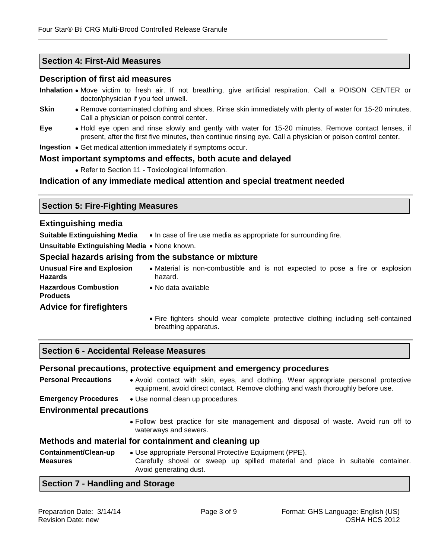# **Section 4: First-Aid Measures**

# **Description of first aid measures**

**Inhalation** Move victim to fresh air. If not breathing, give artificial respiration. Call a POISON CENTER or doctor/physician if you feel unwell.

- **Skin •** Remove contaminated clothing and shoes. Rinse skin immediately with plenty of water for 15-20 minutes. Call a physician or poison control center.
- **Eye** Hold eye open and rinse slowly and gently with water for 15-20 minutes. Remove contact lenses, if present, after the first five minutes, then continue rinsing eye. Call a physician or poison control center.
- **Ingestion** Get medical attention immediately if symptoms occur.

### **Most important symptoms and effects, both acute and delayed**

Refer to Section 11 - Toxicological Information.

# **Indication of any immediate medical attention and special treatment needed**

# **Section 5: Fire-Fighting Measures**

### **Extinguishing media**

**Suitable Extinguishing Media** . In case of fire use media as appropriate for surrounding fire.

**Unsuitable Extinguishing Media • None known.** 

#### **Special hazards arising from the substance or mixture**

- **Unusual Fire and Explosion Hazards** Material is non-combustible and is not expected to pose a fire or explosion hazard.
- **Hazardous Combustion**

**Products**

No data available

- **Advice for firefighters**
- Fire fighters should wear complete protective clothing including self-contained breathing apparatus.

#### **Section 6 - Accidental Release Measures**

#### **Personal precautions, protective equipment and emergency procedures**

**Personal Precautions** . Avoid contact with skin, eyes, and clothing. Wear appropriate personal protective equipment, avoid direct contact. Remove clothing and wash thoroughly before use.

**Emergency Procedures** . Use normal clean up procedures.

#### **Environmental precautions**

 Follow best practice for site management and disposal of waste. Avoid run off to waterways and sewers.

#### **Methods and material for containment and cleaning up**

**Containment/Clean-up Measures** Use appropriate Personal Protective Equipment (PPE). Carefully shovel or sweep up spilled material and place in suitable container. Avoid generating dust.

# **Section 7 - Handling and Storage**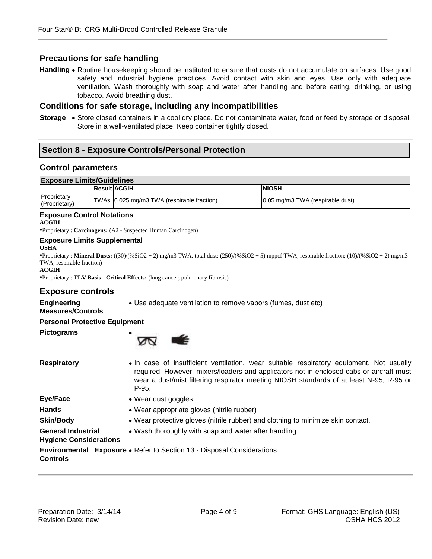# **Precautions for safe handling**

Handling . Routine housekeeping should be instituted to ensure that dusts do not accumulate on surfaces. Use good safety and industrial hygiene practices. Avoid contact with skin and eyes. Use only with adequate ventilation. Wash thoroughly with soap and water after handling and before eating, drinking, or using tobacco. Avoid breathing dust.

## **Conditions for safe storage, including any incompatibilities**

Storage . Store closed containers in a cool dry place. Do not contaminate water, food or feed by storage or disposal. Store in a well-ventilated place. Keep container tightly closed.

# **Section 8 - Exposure Controls/Personal Protection**

### **Control parameters**

| <b>Exposure Limits/Guidelines</b> |  |                                            |                                                     |
|-----------------------------------|--|--------------------------------------------|-----------------------------------------------------|
|                                   |  | <b>Result ACGIH</b>                        | <b>NIOSH</b>                                        |
| Proprietary<br>(Proprietary)      |  | TWAs 0.025 mg/m3 TWA (respirable fraction) | $ 0.05 \text{ mg/m}3 \text{ TWA}$ (respirable dust) |

#### **Exposure Control Notations ACGIH**

•Proprietary : **Carcinogens:** (A2 - Suspected Human Carcinogen)

#### **Exposure Limits Supplemental**

**OSHA**

•Proprietary : **Mineral Dusts:** ((30)/(%SiO2 + 2) mg/m3 TWA, total dust; (250)/(%SiO2 + 5) mppcf TWA, respirable fraction; (10)/(%SiO2 + 2) mg/m3 TWA, respirable fraction)

**ACGIH**

•Proprietary : **TLV Basis - Critical Effects:** (lung cancer; pulmonary fibrosis)

# **Exposure controls**

Use adequate ventilation to remove vapors (fumes, dust etc)

# **Measures/Controls**

**Personal Protective Equipment**

**Pictograms**

**Engineering** 



| <b>Respiratory</b>                                         | • In case of insufficient ventilation, wear suitable respiratory equipment. Not usually<br>required. However, mixers/loaders and applicators not in enclosed cabs or aircraft must<br>wear a dust/mist filtering respirator meeting NIOSH standards of at least N-95, R-95 or<br>$P-95.$ |
|------------------------------------------------------------|------------------------------------------------------------------------------------------------------------------------------------------------------------------------------------------------------------------------------------------------------------------------------------------|
| Eye/Face                                                   | • Wear dust goggles.                                                                                                                                                                                                                                                                     |
| <b>Hands</b>                                               | • Wear appropriate gloves (nitrile rubber)                                                                                                                                                                                                                                               |
| <b>Skin/Body</b>                                           | • Wear protective gloves (nitrile rubber) and clothing to minimize skin contact.                                                                                                                                                                                                         |
| <b>General Industrial</b><br><b>Hygiene Considerations</b> | • Wash thoroughly with soap and water after handling.                                                                                                                                                                                                                                    |

**Environmental Exposure**  Refer to Section 13 - Disposal Considerations.**Controls**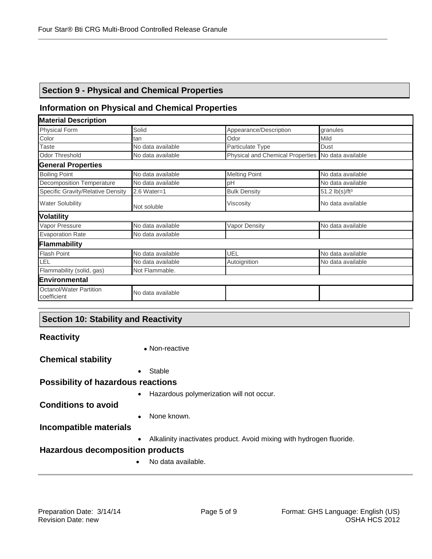# **Section 9 - Physical and Chemical Properties**

# **Information on Physical and Chemical Properties**

| <b>Material Description</b>                   |                   |                                                    |                                     |
|-----------------------------------------------|-------------------|----------------------------------------------------|-------------------------------------|
| <b>Physical Form</b>                          | Solid             | Appearance/Description                             | granules                            |
| Color                                         | tan               | Odor                                               | Mild                                |
| <b>Taste</b>                                  | No data available | Particulate Type                                   | Dust                                |
| <b>Odor Threshold</b>                         | No data available | Physical and Chemical Properties No data available |                                     |
| <b>General Properties</b>                     |                   |                                                    |                                     |
| <b>Boiling Point</b>                          | No data available | <b>Melting Point</b>                               | No data available                   |
| <b>Decomposition Temperature</b>              | No data available | рH                                                 | No data available                   |
| Specific Gravity/Relative Density             | $2.6$ Water=1     | <b>Bulk Density</b>                                | 51.2 $\frac{1}{5}$ /ft <sup>3</sup> |
| <b>Water Solubility</b>                       | Not soluble       | Viscosity                                          | No data available                   |
| <b>Volatility</b>                             |                   |                                                    |                                     |
| Vapor Pressure                                | No data available | Vapor Density                                      | No data available                   |
| <b>Evaporation Rate</b>                       | No data available |                                                    |                                     |
| Flammability                                  |                   |                                                    |                                     |
| <b>Flash Point</b>                            | No data available | UEL                                                | No data available                   |
| LEL                                           | No data available | Autoignition                                       | No data available                   |
| Flammability (solid, gas)                     | Not Flammable.    |                                                    |                                     |
| <b>IEnvironmental</b>                         |                   |                                                    |                                     |
| <b>Octanol/Water Partition</b><br>coefficient | No data available |                                                    |                                     |

# **Section 10: Stability and Reactivity**

| <b>Reactivity</b>                         |                                                                      |
|-------------------------------------------|----------------------------------------------------------------------|
|                                           | • Non-reactive                                                       |
| <b>Chemical stability</b>                 |                                                                      |
| $\bullet$                                 | Stable                                                               |
| <b>Possibility of hazardous reactions</b> |                                                                      |
| $\bullet$                                 | Hazardous polymerization will not occur.                             |
| <b>Conditions to avoid</b>                |                                                                      |
| $\bullet$                                 | None known.                                                          |
| <b>Incompatible materials</b>             |                                                                      |
| $\bullet$                                 | Alkalinity inactivates product. Avoid mixing with hydrogen fluoride. |
| <b>Hazardous decomposition products</b>   |                                                                      |
|                                           | No data available.                                                   |
|                                           |                                                                      |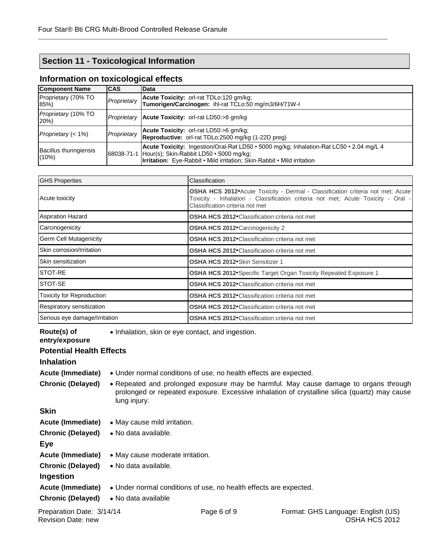# **Section 11 - Toxicological Information**

| <b>Component Name</b>                     | <b>CAS</b>  | Data                                                                                                                                                                                                                              |  |
|-------------------------------------------|-------------|-----------------------------------------------------------------------------------------------------------------------------------------------------------------------------------------------------------------------------------|--|
| Proprietary (70% TO<br>85%                | Proprietary | Acute Toxicity: orl-rat TDLo:120 gm/kg;<br>Tumorigen/Carcinogen: ihl-rat TCLo:50 mg/m3/6H/71W-I                                                                                                                                   |  |
| <i>Proprietary</i> (10% TO<br>20%         |             | Proprietary   Acute Toxicity: orl-rat LD50:>8 gm/kg                                                                                                                                                                               |  |
| Proprietary $(< 1\%)$                     | Proprietary | Acute Toxicity: orl-rat LD50:>6 gm/kg;<br><b>Reproductive:</b> orl-rat TDLo:2500 mg/kg (1-22D preg)                                                                                                                               |  |
| <b>Bacillus thuringiensis</b><br>$(10\%)$ |             | Acute Toxicity: Ingestion/Oral-Rat LD50 • 5000 mg/kg; Inhalation-Rat LC50 • 2.04 mg/L 4<br>68038-71-1   Hour(s); Skin-Rabbit LD50 · 5000 mg/kg;<br><b>Irritation:</b> Eye-Rabbit • Mild irritation; Skin-Rabbit • Mild irritation |  |

# **Information on toxicological effects**

| <b>GHS Properties</b>            | <b>Classification</b>                                                                                                                                                                                        |
|----------------------------------|--------------------------------------------------------------------------------------------------------------------------------------------------------------------------------------------------------------|
| Acute toxicity                   | <b>OSHA HCS 2012</b> Acute Toxicity - Dermal - Classification criteria not met; Acute<br>Toxicity - Inhalation - Classification criteria not met; Acute Toxicity - Oral -<br>Classification criteria not met |
| <b>Aspiration Hazard</b>         | <b>OSHA HCS 2012</b> Classification criteria not met                                                                                                                                                         |
| Carcinogenicity                  | <b>OSHA HCS 2012</b> Carcinogenicity 2                                                                                                                                                                       |
| <b>Germ Cell Mutagenicity</b>    | <b>OSHA HCS 2012</b> Classification criteria not met                                                                                                                                                         |
| Skin corrosion/Irritation        | <b>OSHA HCS 2012</b> Classification criteria not met                                                                                                                                                         |
| Skin sensitization               | OSHA HCS 2012 Skin Sensitizer 1                                                                                                                                                                              |
| <b>STOT-RE</b>                   | OSHA HCS 2012 Specific Target Organ Toxicity Repeated Exposure 1                                                                                                                                             |
| <b>STOT-SE</b>                   | <b>OSHA HCS 2012</b> Classification criteria not met                                                                                                                                                         |
| <b>Toxicity for Reproduction</b> | <b>OSHA HCS 2012</b> Classification criteria not met                                                                                                                                                         |
| Respiratory sensitization        | <b>OSHA HCS 2012</b> Classification criteria not met                                                                                                                                                         |
| Serious eye damage/Irritation    | <b>OSHA HCS 2012</b> Classification criteria not met                                                                                                                                                         |

Inhalation, skin or eye contact, and ingestion.

# **Potential Health Effects**

# **Inhalation**

**Route(s) of entry/exposure**

| <b>Acute (Immediate)</b>                             | • Under normal conditions of use, no health effects are expected.                                                                                                                                     |
|------------------------------------------------------|-------------------------------------------------------------------------------------------------------------------------------------------------------------------------------------------------------|
| <b>Chronic (Delayed)</b>                             | • Repeated and prolonged exposure may be harmful. May cause damage to organs through<br>prolonged or repeated exposure. Excessive inhalation of crystalline silica (quartz) may cause<br>lung injury. |
| <b>Skin</b>                                          |                                                                                                                                                                                                       |
| <b>Acute (Immediate)</b>                             | • May cause mild irritation.                                                                                                                                                                          |
| <b>Chronic (Delayed)</b>                             | • No data available.                                                                                                                                                                                  |
| Eye                                                  |                                                                                                                                                                                                       |
| <b>Acute (Immediate)</b>                             | • May cause moderate irritation.                                                                                                                                                                      |
| <b>Chronic (Delayed)</b><br>Ingestion                | • No data available.                                                                                                                                                                                  |
| <b>Acute (Immediate)</b><br><b>Chronic (Delayed)</b> | • Under normal conditions of use, no health effects are expected.<br>• No data available                                                                                                              |
|                                                      |                                                                                                                                                                                                       |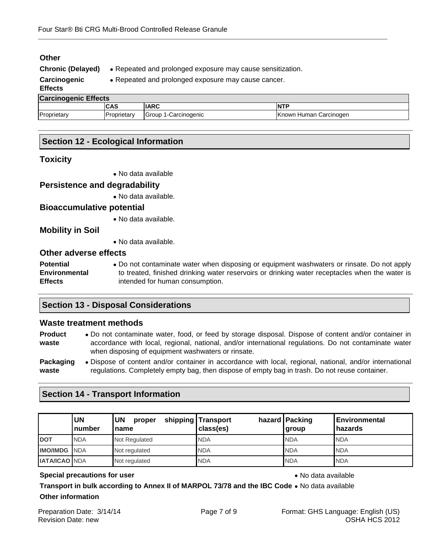| Other<br><b>Chronic (Delayed)</b><br>Carcinogenic<br><b>Effects</b> | • Repeated and prolonged exposure may cause sensitization.<br>• Repeated and prolonged exposure may cause cancer. |                      |                        |
|---------------------------------------------------------------------|-------------------------------------------------------------------------------------------------------------------|----------------------|------------------------|
| <b>Carcinogenic Effects</b>                                         |                                                                                                                   |                      |                        |
|                                                                     | <b>CAS</b>                                                                                                        | <b>IARC</b>          | <b>NTP</b>             |
| Proprietary                                                         | Proprietary                                                                                                       | Group 1-Carcinogenic | Known Human Carcinogen |

# **Section 12 - Ecological Information**

## **Toxicity**

**Other**

No data available

**Persistence and degradability**

No data available.

# **Bioaccumulative potential**

No data available.

**Mobility in Soil**

No data available.

# **Other adverse effects**

**Potential Environmental Effects** Do not contaminate water when disposing or equipment washwaters or rinsate. Do not apply to treated, finished drinking water reservoirs or drinking water receptacles when the water is intended for human consumption.

# **Section 13 - Disposal Considerations**

#### **Waste treatment methods**

| <b>Product</b> | • Do not contaminate water, food, or feed by storage disposal. Dispose of content and/or container in                                                       |
|----------------|-------------------------------------------------------------------------------------------------------------------------------------------------------------|
| waste          | accordance with local, regional, national, and/or international regulations. Do not contaminate water<br>when disposing of equipment washwaters or rinsate. |
| Packaging      | • Dispose of content and/or container in accordance with local, regional, national, and/or international                                                    |
| waste          | regulations. Completely empty bag, then dispose of empty bag in trash. Do not reuse container.                                                              |

# **Section 14 - Transport Information**

|                      | <b>UN</b><br>Inumber | UN<br>proper<br><b>Iname</b> | shipping Transport<br>class(es) | hazard   Packing<br>group | <b>IEnvironmental</b><br><b>hazards</b> |
|----------------------|----------------------|------------------------------|---------------------------------|---------------------------|-----------------------------------------|
| <b>DOT</b>           | <b>NDA</b>           | Not Regulated                | <b>NDA</b>                      | <b>NDA</b>                | <b>NDA</b>                              |
| <b>IMO/IMDG</b> NDA  |                      | Not regulated                | <b>NDA</b>                      | <b>NDA</b>                | <b>NDA</b>                              |
| <b>IATA/ICAO NDA</b> |                      | Not regulated                | <b>NDA</b>                      | <b>NDA</b>                | <b>NDA</b>                              |

#### **Special precautions for user No data available No data available**

**Transport in bulk according to Annex II of MARPOL 73/78 and the IBC Code .** No data available **Other information**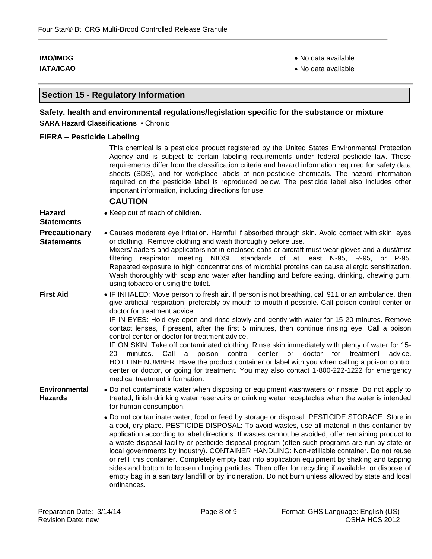**IMO/IMDG No data available No data available No data available** 

**IATA/ICAO No data available No data available No data available** 

# **Section 15 - Regulatory Information**

## **Safety, health and environmental regulations/legislation specific for the substance or mixture SARA Hazard Classifications** • Chronic

#### **FIFRA – Pesticide Labeling**

This chemical is a pesticide product registered by the United States Environmental Protection Agency and is subject to certain labeling requirements under federal pesticide law. These requirements differ from the classification criteria and hazard information required for safety data sheets (SDS), and for workplace labels of non-pesticide chemicals. The hazard information required on the pesticide label is reproduced below. The pesticide label also includes other important information, including directions for use.

#### **CAUTION**

| • Keep out of reach of children.                                                                                                                                                                                                                                                                                                                                                                                                                                                                                                                                                                                                                                                                                                                                                                                                                                                                                                                                                                                                                                       |
|------------------------------------------------------------------------------------------------------------------------------------------------------------------------------------------------------------------------------------------------------------------------------------------------------------------------------------------------------------------------------------------------------------------------------------------------------------------------------------------------------------------------------------------------------------------------------------------------------------------------------------------------------------------------------------------------------------------------------------------------------------------------------------------------------------------------------------------------------------------------------------------------------------------------------------------------------------------------------------------------------------------------------------------------------------------------|
| • Causes moderate eye irritation. Harmful if absorbed through skin. Avoid contact with skin, eyes<br>or clothing. Remove clothing and wash thoroughly before use.<br>Mixers/loaders and applicators not in enclosed cabs or aircraft must wear gloves and a dust/mist<br>filtering respirator meeting NIOSH standards of at least N-95, R-95, or P-95.<br>Repeated exposure to high concentrations of microbial proteins can cause allergic sensitization.<br>Wash thoroughly with soap and water after handling and before eating, drinking, chewing gum,<br>using tobacco or using the toilet.                                                                                                                                                                                                                                                                                                                                                                                                                                                                       |
| • IF INHALED: Move person to fresh air. If person is not breathing, call 911 or an ambulance, then<br>give artificial respiration, preferably by mouth to mouth if possible. Call poison control center or<br>doctor for treatment advice.<br>IF IN EYES: Hold eye open and rinse slowly and gently with water for 15-20 minutes. Remove<br>contact lenses, if present, after the first 5 minutes, then continue rinsing eye. Call a poison<br>control center or doctor for treatment advice.<br>IF ON SKIN: Take off contaminated clothing. Rinse skin immediately with plenty of water for 15-<br>20<br>Call<br>poison<br>control<br>center<br><b>or</b><br>doctor<br>for<br>minutes.<br>a<br>treatment<br>advice.<br>HOT LINE NUMBER: Have the product container or label with you when calling a poison control<br>center or doctor, or going for treatment. You may also contact 1-800-222-1222 for emergency<br>medical treatment information.                                                                                                                   |
| • Do not contaminate water when disposing or equipment washwaters or rinsate. Do not apply to<br>treated, finish drinking water reservoirs or drinking water receptacles when the water is intended<br>for human consumption.<br>• Do not contaminate water, food or feed by storage or disposal. PESTICIDE STORAGE: Store in<br>a cool, dry place. PESTICIDE DISPOSAL: To avoid wastes, use all material in this container by<br>application according to label directions. If wastes cannot be avoided, offer remaining product to<br>a waste disposal facility or pesticide disposal program (often such programs are run by state or<br>local governments by industry). CONTAINER HANDLING: Non-refillable container. Do not reuse<br>or refill this container. Completely empty bad into application equipment by shaking and tapping<br>sides and bottom to loosen clinging particles. Then offer for recycling if available, or dispose of<br>empty bag in a sanitary landfill or by incineration. Do not burn unless allowed by state and local<br>ordinances. |
|                                                                                                                                                                                                                                                                                                                                                                                                                                                                                                                                                                                                                                                                                                                                                                                                                                                                                                                                                                                                                                                                        |